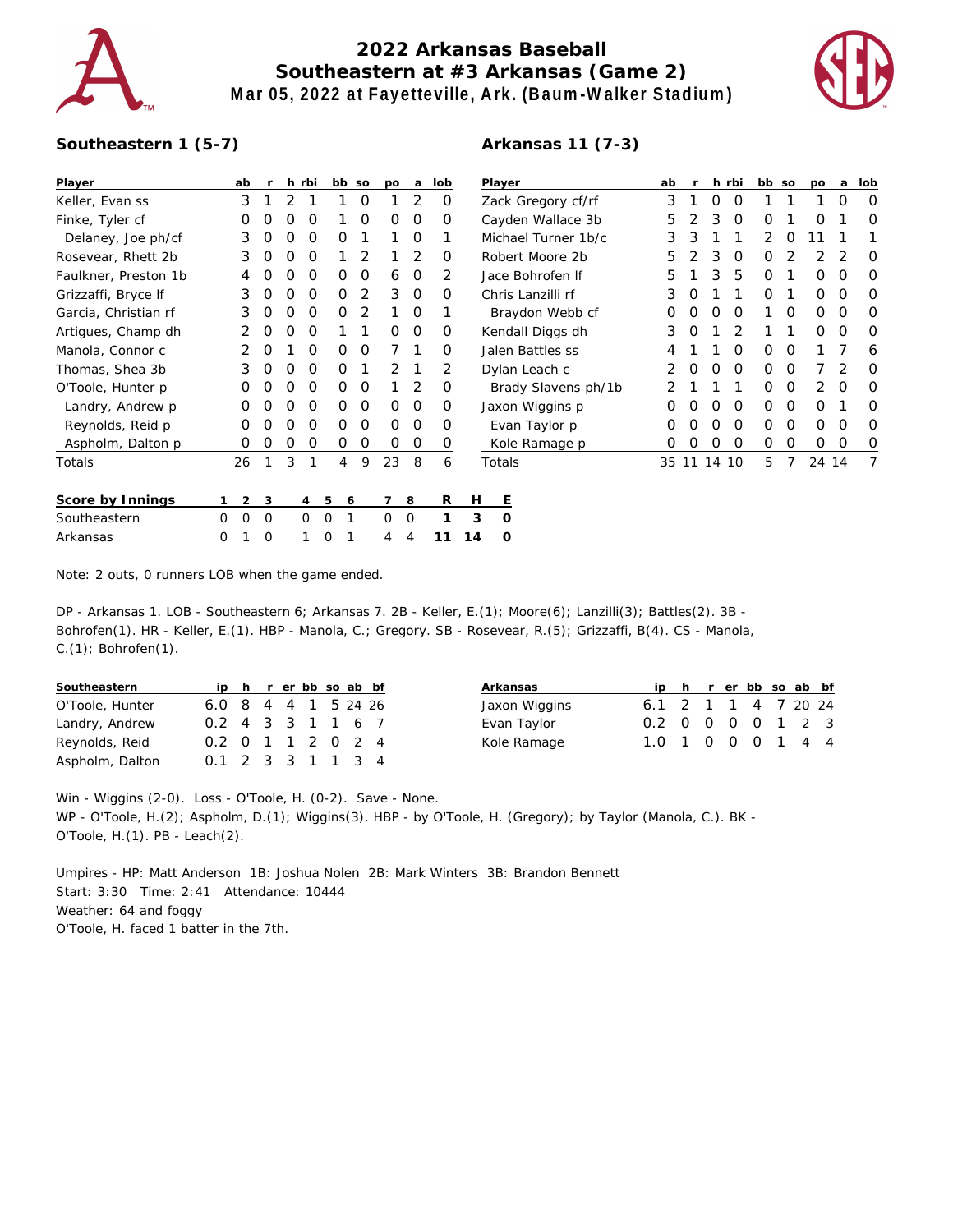

## **2022 Arkansas Baseball Southeastern at #3 Arkansas (Game 2) Mar 05, 2022 at Fayetteville, Ark. (Baum-Walker Stadium)**



## **Southeastern 1 (5-7)**

## **Arkansas 11 (7-3)**

| Player               |   | ab             |          |   | h rbi    |   | bb so | po             | a,       | lob |    | Player              | ab |            |          | h rbi    | bb so    |          | po       | a        | lob |
|----------------------|---|----------------|----------|---|----------|---|-------|----------------|----------|-----|----|---------------------|----|------------|----------|----------|----------|----------|----------|----------|-----|
| Keller, Evan ss      |   | 3              |          | 2 |          |   | 0     |                | 2        | 0   |    | Zack Gregory cf/rf  | 3  |            | O        | 0        |          |          |          | O        | 0   |
| Finke, Tyler cf      |   | Ο              | O        | Ο | O        |   | 0     | $\Omega$       | 0        | 0   |    | Cayden Wallace 3b   | 5  |            | 3        | 0        | O        |          | ∩        |          | O   |
| Delaney, Joe ph/cf   |   | 3              | O        | O | $\Omega$ | 0 |       |                | $\Omega$ |     |    | Michael Turner 1b/c | 3  | 3          |          |          | 2        | 0        | 11       |          |     |
| Rosevear, Rhett 2b   |   | 3              | O        | Ο | 0        |   | 2     |                | 2        | O   |    | Robert Moore 2b     | 5  |            | 3        | O        | 0        |          |          |          | O   |
| Faulkner, Preston 1b |   |                |          |   | O        | 0 | 0     | 6              | $\Omega$ | 2   |    | Jace Bohrofen If    | 5  |            | 3        | 5        | $\Omega$ |          | $\Omega$ | ∩        | O   |
| Grizzaffi, Bryce If  |   | 3              | Ω        | Ω | O        | 0 | 2     | 3              | 0        | O   |    | Chris Lanzilli rf   | 3  |            |          |          | $\Omega$ |          | $\Omega$ | $\Omega$ | 0   |
| Garcia, Christian rf |   | 3              | O        | O | $\Omega$ | 0 | 2     |                | 0        |     |    | Braydon Webb cf     | O  | O          | O        | $\Omega$ |          | 0        | 0        | $\Omega$ | 0   |
| Artigues, Champ dh   |   |                | 0        | O | $\Omega$ |   |       | $\Omega$       | 0        | 0   |    | Kendall Diggs dh    | 3  | $\left($ ) |          | 2        |          |          | $\Omega$ | $\Omega$ | 0   |
| Manola, Connor c     |   |                | O        |   | O        | 0 | 0     |                |          | 0   |    | Jalen Battles ss    | 4  |            |          | O        | 0        | 0        |          |          | 6   |
| Thomas, Shea 3b      |   | 3              | O        | O | $\Omega$ | 0 |       | 2              |          | 2   |    | Dylan Leach c       | 2  |            | O        | $\Omega$ | $\Omega$ | O        |          | 2        | 0   |
| O'Toole, Hunter p    |   | O              | O        | Ο | $\Omega$ | 0 | 0     |                | 2        | O   |    | Brady Slavens ph/1b |    |            |          |          | $\Omega$ | $\Omega$ | 2        | $\Omega$ | O   |
| Landry, Andrew p     |   | O              |          |   | O        | 0 | 0     | $\Omega$       | 0        | O   |    | Jaxon Wiggins p     |    |            |          | $\Omega$ | 0        | 0        | 0        |          | O   |
| Reynolds, Reid p     |   | 0              |          | Ω | O        | 0 | O     | 0              | $\Omega$ | Ο   |    | Evan Taylor p       |    |            |          | O        | 0        | O        | $\Omega$ | O        | O   |
| Aspholm, Dalton p    |   | 0              | O        | Ο | Ο        | 0 | 0     | $\Omega$       | 0        | 0   |    | Kole Ramage p       |    |            | Ω        | 0        | 0        | 0        | 0        | O        | 0   |
| Totals               |   | 26             |          | 3 | 1        | 4 | 9     | 23             | 8        | 6   |    | Totals              | 35 |            | 11 14 10 |          | 5        | 7        | 24 14    |          | 7   |
| Score by Innings     |   | $\overline{2}$ | 3        |   | 4        | 5 | 6     | $\overline{7}$ | 8        | R   | Н  | E                   |    |            |          |          |          |          |          |          |     |
| Southeastern         | 0 | $\Omega$       | $\Omega$ |   | $\Omega$ | 0 |       | 0              | 0        |     | 3  | O                   |    |            |          |          |          |          |          |          |     |
| Arkansas             | 0 |                | $\Omega$ |   |          | 0 |       | 4              | 4        | 11  | 14 | O                   |    |            |          |          |          |          |          |          |     |

Note: 2 outs, 0 runners LOB when the game ended.

DP - Arkansas 1. LOB - Southeastern 6; Arkansas 7. 2B - Keller, E.(1); Moore(6); Lanzilli(3); Battles(2). 3B - Bohrofen(1). HR - Keller, E.(1). HBP - Manola, C.; Gregory. SB - Rosevear, R.(5); Grizzaffi, B(4). CS - Manola, C.(1); Bohrofen(1).

| Southeastern    |                     |  | ip h r er bb so ab bf |  |  |
|-----------------|---------------------|--|-----------------------|--|--|
| O'Toole, Hunter | 6.0 8 4 4 1 5 24 26 |  |                       |  |  |
| Landry, Andrew  | 0.2 4 3 3 1 1 6 7   |  |                       |  |  |
| Reynolds, Reid  | 0.2 0 1 1 2 0 2 4   |  |                       |  |  |
| Aspholm, Dalton | 0.1 2 3 3 1 1 3 4   |  |                       |  |  |

| Arkansas      |                     |  | ip h r er bb so ab bf |  |  |
|---------------|---------------------|--|-----------------------|--|--|
| Jaxon Wiggins | 6.1 2 1 1 4 7 20 24 |  |                       |  |  |
| Evan Taylor   | 0.2 0 0 0 0 1 2 3   |  |                       |  |  |
| Kole Ramage   | 1.0 1 0 0 0 1 4 4   |  |                       |  |  |

Win - Wiggins (2-0). Loss - O'Toole, H. (0-2). Save - None. WP - O'Toole, H.(2); Aspholm, D.(1); Wiggins(3). HBP - by O'Toole, H. (Gregory); by Taylor (Manola, C.). BK - O'Toole, H.(1). PB - Leach(2).

Umpires - HP: Matt Anderson 1B: Joshua Nolen 2B: Mark Winters 3B: Brandon Bennett Start: 3:30 Time: 2:41 Attendance: 10444 Weather: 64 and foggy O'Toole, H. faced 1 batter in the 7th.